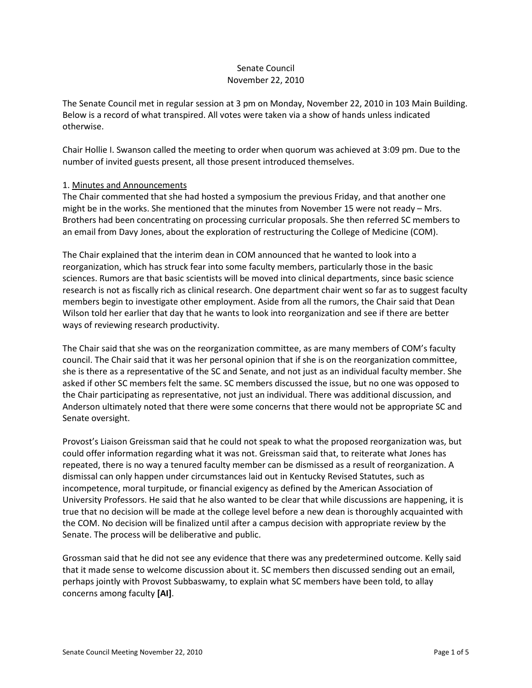## Senate Council November 22, 2010

The Senate Council met in regular session at 3 pm on Monday, November 22, 2010 in 103 Main Building. Below is a record of what transpired. All votes were taken via a show of hands unless indicated otherwise.

Chair Hollie I. Swanson called the meeting to order when quorum was achieved at 3:09 pm. Due to the number of invited guests present, all those present introduced themselves.

## 1. Minutes and Announcements

The Chair commented that she had hosted a symposium the previous Friday, and that another one might be in the works. She mentioned that the minutes from November 15 were not ready – Mrs. Brothers had been concentrating on processing curricular proposals. She then referred SC members to an email from Davy Jones, about the exploration of restructuring the College of Medicine (COM).

The Chair explained that the interim dean in COM announced that he wanted to look into a reorganization, which has struck fear into some faculty members, particularly those in the basic sciences. Rumors are that basic scientists will be moved into clinical departments, since basic science research is not as fiscally rich as clinical research. One department chair went so far as to suggest faculty members begin to investigate other employment. Aside from all the rumors, the Chair said that Dean Wilson told her earlier that day that he wants to look into reorganization and see if there are better ways of reviewing research productivity.

The Chair said that she was on the reorganization committee, as are many members of COM's faculty council. The Chair said that it was her personal opinion that if she is on the reorganization committee, she is there as a representative of the SC and Senate, and not just as an individual faculty member. She asked if other SC members felt the same. SC members discussed the issue, but no one was opposed to the Chair participating as representative, not just an individual. There was additional discussion, and Anderson ultimately noted that there were some concerns that there would not be appropriate SC and Senate oversight.

Provost's Liaison Greissman said that he could not speak to what the proposed reorganization was, but could offer information regarding what it was not. Greissman said that, to reiterate what Jones has repeated, there is no way a tenured faculty member can be dismissed as a result of reorganization. A dismissal can only happen under circumstances laid out in Kentucky Revised Statutes, such as incompetence, moral turpitude, or financial exigency as defined by the American Association of University Professors. He said that he also wanted to be clear that while discussions are happening, it is true that no decision will be made at the college level before a new dean is thoroughly acquainted with the COM. No decision will be finalized until after a campus decision with appropriate review by the Senate. The process will be deliberative and public.

Grossman said that he did not see any evidence that there was any predetermined outcome. Kelly said that it made sense to welcome discussion about it. SC members then discussed sending out an email, perhaps jointly with Provost Subbaswamy, to explain what SC members have been told, to allay concerns among faculty **[AI]**.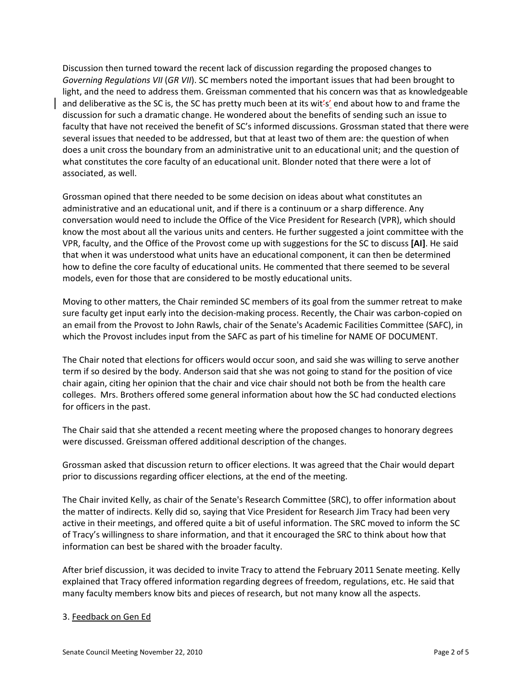Discussion then turned toward the recent lack of discussion regarding the proposed changes to *Governing Regulations VII* (*GR VII*). SC members noted the important issues that had been brought to light, and the need to address them. Greissman commented that his concern was that as knowledgeable and deliberative as the SC is, the SC has pretty much been at its wit's' end about how to and frame the discussion for such a dramatic change. He wondered about the benefits of sending such an issue to faculty that have not received the benefit of SC's informed discussions. Grossman stated that there were several issues that needed to be addressed, but that at least two of them are: the question of when does a unit cross the boundary from an administrative unit to an educational unit; and the question of what constitutes the core faculty of an educational unit. Blonder noted that there were a lot of associated, as well.

Grossman opined that there needed to be some decision on ideas about what constitutes an administrative and an educational unit, and if there is a continuum or a sharp difference. Any conversation would need to include the Office of the Vice President for Research (VPR), which should know the most about all the various units and centers. He further suggested a joint committee with the VPR, faculty, and the Office of the Provost come up with suggestions for the SC to discuss **[AI]**. He said that when it was understood what units have an educational component, it can then be determined how to define the core faculty of educational units. He commented that there seemed to be several models, even for those that are considered to be mostly educational units.

Moving to other matters, the Chair reminded SC members of its goal from the summer retreat to make sure faculty get input early into the decision-making process. Recently, the Chair was carbon-copied on an email from the Provost to John Rawls, chair of the Senate's Academic Facilities Committee (SAFC), in which the Provost includes input from the SAFC as part of his timeline for NAME OF DOCUMENT.

The Chair noted that elections for officers would occur soon, and said she was willing to serve another term if so desired by the body. Anderson said that she was not going to stand for the position of vice chair again, citing her opinion that the chair and vice chair should not both be from the health care colleges. Mrs. Brothers offered some general information about how the SC had conducted elections for officers in the past.

The Chair said that she attended a recent meeting where the proposed changes to honorary degrees were discussed. Greissman offered additional description of the changes.

Grossman asked that discussion return to officer elections. It was agreed that the Chair would depart prior to discussions regarding officer elections, at the end of the meeting.

The Chair invited Kelly, as chair of the Senate's Research Committee (SRC), to offer information about the matter of indirects. Kelly did so, saying that Vice President for Research Jim Tracy had been very active in their meetings, and offered quite a bit of useful information. The SRC moved to inform the SC of Tracy's willingness to share information, and that it encouraged the SRC to think about how that information can best be shared with the broader faculty.

After brief discussion, it was decided to invite Tracy to attend the February 2011 Senate meeting. Kelly explained that Tracy offered information regarding degrees of freedom, regulations, etc. He said that many faculty members know bits and pieces of research, but not many know all the aspects.

## 3. Feedback on Gen Ed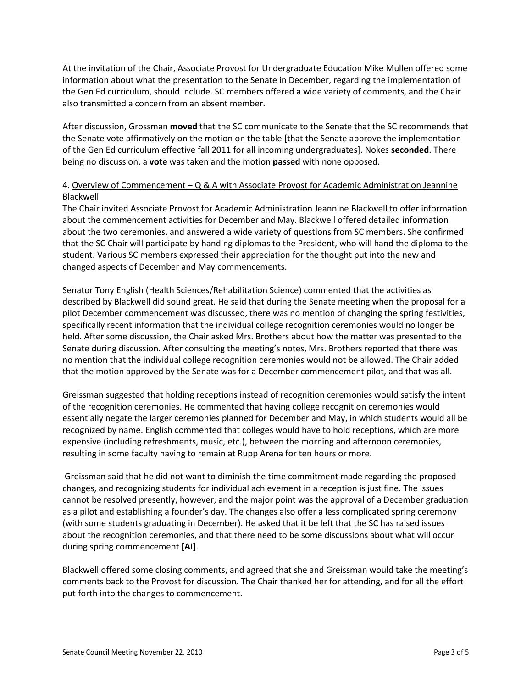At the invitation of the Chair, Associate Provost for Undergraduate Education Mike Mullen offered some information about what the presentation to the Senate in December, regarding the implementation of the Gen Ed curriculum, should include. SC members offered a wide variety of comments, and the Chair also transmitted a concern from an absent member.

After discussion, Grossman **moved** that the SC communicate to the Senate that the SC recommends that the Senate vote affirmatively on the motion on the table [that the Senate approve the implementation of the Gen Ed curriculum effective fall 2011 for all incoming undergraduates]. Nokes **seconded**. There being no discussion, a **vote** was taken and the motion **passed** with none opposed.

## 4. Overview of Commencement – Q & A with Associate Provost for Academic Administration Jeannine Blackwell

The Chair invited Associate Provost for Academic Administration Jeannine Blackwell to offer information about the commencement activities for December and May. Blackwell offered detailed information about the two ceremonies, and answered a wide variety of questions from SC members. She confirmed that the SC Chair will participate by handing diplomas to the President, who will hand the diploma to the student. Various SC members expressed their appreciation for the thought put into the new and changed aspects of December and May commencements.

Senator Tony English (Health Sciences/Rehabilitation Science) commented that the activities as described by Blackwell did sound great. He said that during the Senate meeting when the proposal for a pilot December commencement was discussed, there was no mention of changing the spring festivities, specifically recent information that the individual college recognition ceremonies would no longer be held. After some discussion, the Chair asked Mrs. Brothers about how the matter was presented to the Senate during discussion. After consulting the meeting's notes, Mrs. Brothers reported that there was no mention that the individual college recognition ceremonies would not be allowed. The Chair added that the motion approved by the Senate was for a December commencement pilot, and that was all.

Greissman suggested that holding receptions instead of recognition ceremonies would satisfy the intent of the recognition ceremonies. He commented that having college recognition ceremonies would essentially negate the larger ceremonies planned for December and May, in which students would all be recognized by name. English commented that colleges would have to hold receptions, which are more expensive (including refreshments, music, etc.), between the morning and afternoon ceremonies, resulting in some faculty having to remain at Rupp Arena for ten hours or more.

Greissman said that he did not want to diminish the time commitment made regarding the proposed changes, and recognizing students for individual achievement in a reception is just fine. The issues cannot be resolved presently, however, and the major point was the approval of a December graduation as a pilot and establishing a founder's day. The changes also offer a less complicated spring ceremony (with some students graduating in December). He asked that it be left that the SC has raised issues about the recognition ceremonies, and that there need to be some discussions about what will occur during spring commencement **[AI]**.

Blackwell offered some closing comments, and agreed that she and Greissman would take the meeting's comments back to the Provost for discussion. The Chair thanked her for attending, and for all the effort put forth into the changes to commencement.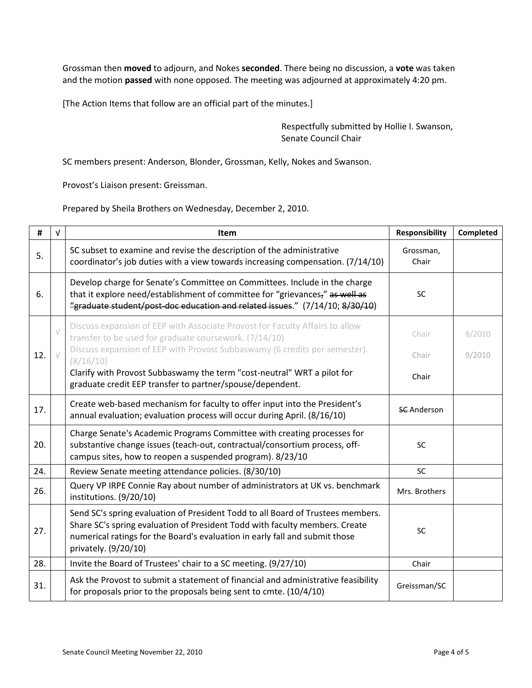Grossman then **moved** to adjourn, and Nokes **seconded**. There being no discussion, a **vote** was taken and the motion **passed** with none opposed. The meeting was adjourned at approximately 4:20 pm.

[The Action Items that follow are an official part of the minutes.]

Respectfully submitted by Hollie I. Swanson, Senate Council Chair

SC members present: Anderson, Blonder, Grossman, Kelly, Nokes and Swanson.

Provost's Liaison present: Greissman.

Prepared by Sheila Brothers on Wednesday, December 2, 2010.

| #   | $\sqrt{ }$ | Item                                                                                                                                                                                                                                                                  | Responsibility     | Completed |
|-----|------------|-----------------------------------------------------------------------------------------------------------------------------------------------------------------------------------------------------------------------------------------------------------------------|--------------------|-----------|
| 5.  |            | SC subset to examine and revise the description of the administrative<br>coordinator's job duties with a view towards increasing compensation. (7/14/10)                                                                                                              | Grossman,<br>Chair |           |
| 6.  |            | Develop charge for Senate's Committee on Committees. Include in the charge<br>that it explore need/establishment of committee for "grievances," as well as<br>"graduate student/post-doc education and related issues." (7/14/10; 8/30/10)                            | <b>SC</b>          |           |
| 12. | $\sqrt{}$  | Discuss expansion of EEP with Associate Provost for Faculty Affairs to allow<br>transfer to be used for graduate coursework. (7/14/10)<br>Discuss expansion of EEP with Provost Subbaswamy (6 credits per semester).                                                  | Chair              | 8/2010    |
|     |            | (8/16/10)                                                                                                                                                                                                                                                             | Chair              | 9/2010    |
|     |            | Clarify with Provost Subbaswamy the term "cost-neutral" WRT a pilot for<br>graduate credit EEP transfer to partner/spouse/dependent.                                                                                                                                  | Chair              |           |
| 17. |            | Create web-based mechanism for faculty to offer input into the President's<br>annual evaluation; evaluation process will occur during April. (8/16/10)                                                                                                                | <b>SC</b> Anderson |           |
| 20. |            | Charge Senate's Academic Programs Committee with creating processes for<br>substantive change issues (teach-out, contractual/consortium process, off-<br>campus sites, how to reopen a suspended program). 8/23/10                                                    | <b>SC</b>          |           |
| 24. |            | Review Senate meeting attendance policies. (8/30/10)                                                                                                                                                                                                                  | SC                 |           |
| 26. |            | Query VP IRPE Connie Ray about number of administrators at UK vs. benchmark<br>institutions. (9/20/10)                                                                                                                                                                | Mrs. Brothers      |           |
| 27. |            | Send SC's spring evaluation of President Todd to all Board of Trustees members.<br>Share SC's spring evaluation of President Todd with faculty members. Create<br>numerical ratings for the Board's evaluation in early fall and submit those<br>privately. (9/20/10) | <b>SC</b>          |           |
| 28. |            | Invite the Board of Trustees' chair to a SC meeting. (9/27/10)                                                                                                                                                                                                        | Chair              |           |
| 31. |            | Ask the Provost to submit a statement of financial and administrative feasibility<br>for proposals prior to the proposals being sent to cmte. (10/4/10)                                                                                                               | Greissman/SC       |           |